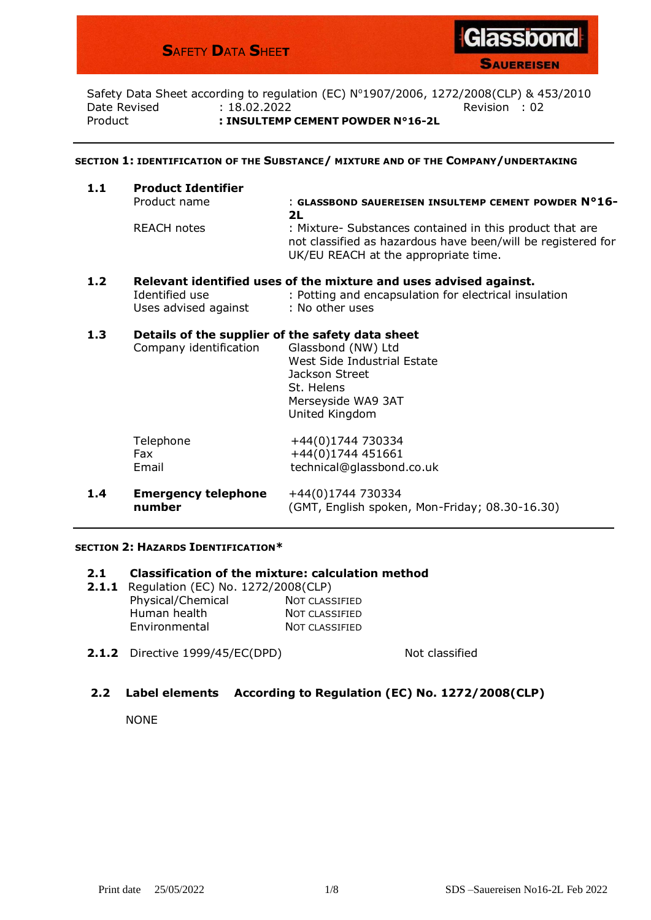## **S**AFETY **D**ATA **S**HEE**T**



**SAUEREISEN** 

Safety Data Sheet according to regulation (EC) Nº1907/2006, 1272/2008(CLP) & 453/2010 Date Revised : 18.02.2022 Revision : 02 Product **: INSULTEMP CEMENT POWDER N°16-2L**

## **SECTION 1: IDENTIFICATION OF THE SUBSTANCE/ MIXTURE AND OF THE COMPANY/UNDERTAKING**

| 1.1 | <b>Product Identifier</b> |                                                                                                                                                                  |  |  |  |
|-----|---------------------------|------------------------------------------------------------------------------------------------------------------------------------------------------------------|--|--|--|
|     | Product name              | : GLASSBOND SAUEREISEN INSULTEMP CEMENT POWDER N°16-                                                                                                             |  |  |  |
|     |                           | 2L                                                                                                                                                               |  |  |  |
|     | <b>REACH notes</b>        | : Mixture- Substances contained in this product that are<br>not classified as hazardous have been/will be registered for<br>UK/EU REACH at the appropriate time. |  |  |  |
| 1.2 |                           | Relevant identified uses of the mixture and uses advised against.                                                                                                |  |  |  |
|     | Identified use            | : Potting and encapsulation for electrical insulation                                                                                                            |  |  |  |

# Uses advised against : No other uses **1.3 Details of the supplier of the safety data sheet**

| Company identification | Glassbond (NW) Ltd<br>West Side Industrial Estate<br>Jackson Street<br>St. Helens<br>Merseyside WA9 3AT<br>United Kingdom |
|------------------------|---------------------------------------------------------------------------------------------------------------------------|
| Telephone              | +44(0)1744 730334                                                                                                         |
| Fax.                   | +44(0)1744 451661                                                                                                         |
| Email                  | technical@glassbond.co.uk                                                                                                 |

**1.4 Emergency telephone** +44(0)1744 730334 **number** (GMT, English spoken, Mon-Friday; 08.30-16.30)

#### **SECTION 2: HAZARDS IDENTIFICATION\***

### **2.1 Classification of the mixture: calculation method**

- **2.1.1** Regulation (EC) No. 1272/2008(CLP) Physical/Chemical Not CLASSIFIED Human health NOT CLASSIFIED Environmental NOT CLASSIFIED
- **2.1.2** Directive 1999/45/EC(DPD) Not classified

## **2.2 Label elements According to Regulation (EC) No. 1272/2008(CLP)**

NONE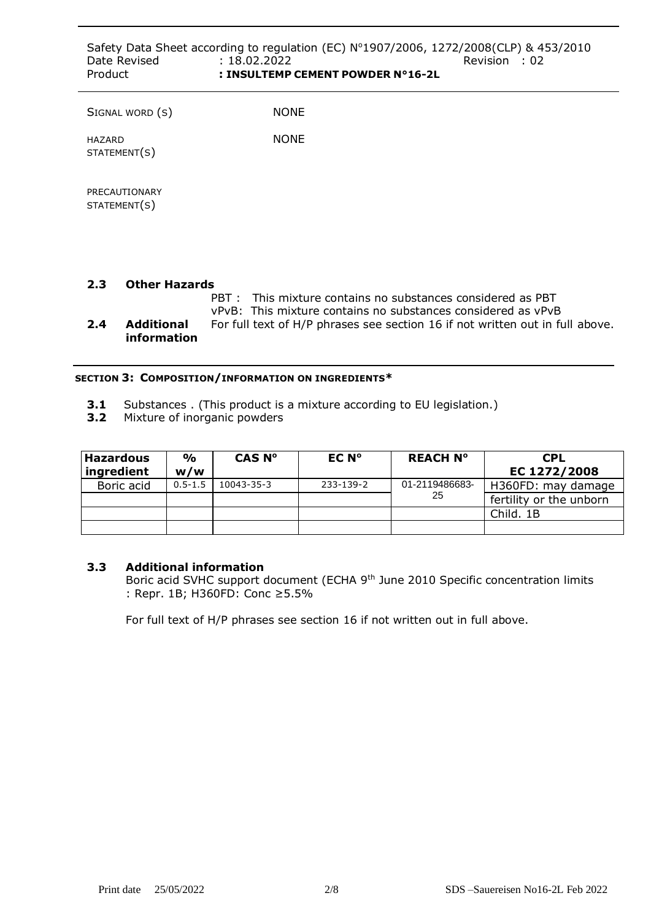| Date Revised<br>Product       | : 18.02.2022<br>: INSULTEMP CEMENT POWDER N°16-2L | Safety Data Sheet according to regulation (EC) Nº1907/2006, 1272/2008(CLP) & 453/2010<br>Revision : 02 |
|-------------------------------|---------------------------------------------------|--------------------------------------------------------------------------------------------------------|
| SIGNAL WORD (S)               | <b>NONE</b>                                       |                                                                                                        |
| HAZARD<br>STATEMENT(S)        | <b>NONE</b>                                       |                                                                                                        |
| PRECAUTIONARY<br>STATEMENT(S) |                                                   |                                                                                                        |

## **2.3 Other Hazards**

- PBT : This mixture contains no substances considered as PBT vPvB: This mixture contains no substances considered as vPvB
- **2.4 Additional** For full text of H/P phrases see section 16 if not written out in full above. **information**

## **SECTION 3: COMPOSITION/INFORMATION ON INGREDIENTS\***

- **3.1** Substances . (This product is a mixture according to EU legislation.)
- **3.2** Mixture of inorganic powders

| <b>Hazardous</b><br>ingredient | $\frac{0}{0}$<br>w/w | CAS N°     | EC N°     | <b>REACH N°</b> | <b>CPL</b><br>EC 1272/2008 |
|--------------------------------|----------------------|------------|-----------|-----------------|----------------------------|
| Boric acid                     | $0.5 - 1.5$          | 10043-35-3 | 233-139-2 | 01-2119486683-  | H360FD: may damage         |
|                                |                      |            |           | 25              | fertility or the unborn    |
|                                |                      |            |           |                 | Child, 1B                  |
|                                |                      |            |           |                 |                            |

## **3.3 Additional information**

Boric acid SVHC support document (ECHA 9<sup>th</sup> June 2010 Specific concentration limits : Repr. 1B; H360FD: Conc ≥5.5%

For full text of H/P phrases see section 16 if not written out in full above.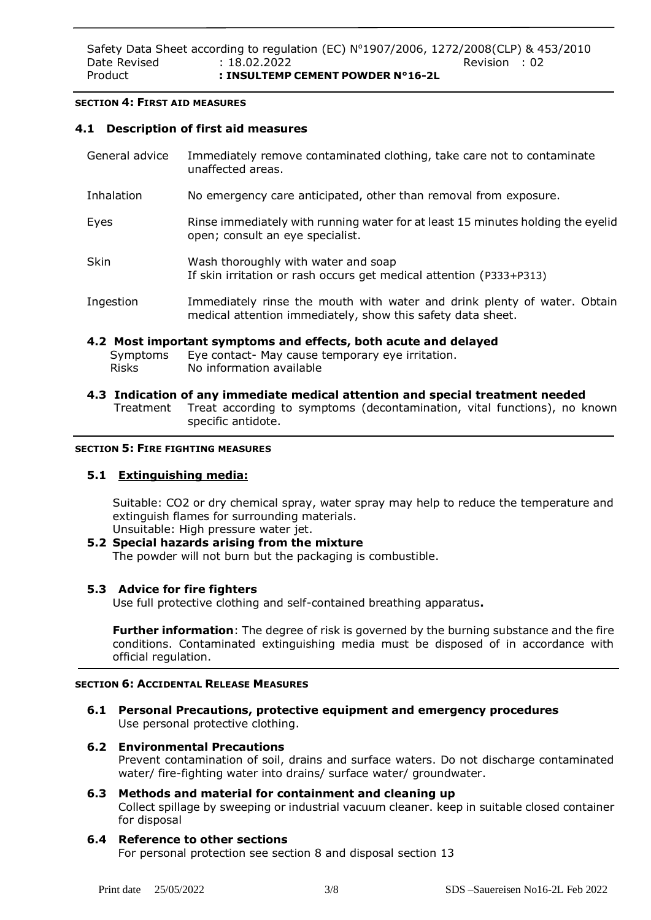## **SECTION 4: FIRST AID MEASURES**

## **4.1 Description of first aid measures**

| General advice | Immediately remove contaminated clothing, take care not to contaminate<br>unaffected areas.                                             |  |
|----------------|-----------------------------------------------------------------------------------------------------------------------------------------|--|
| Inhalation     | No emergency care anticipated, other than removal from exposure.                                                                        |  |
| Eyes           | Rinse immediately with running water for at least 15 minutes holding the eyelid<br>open; consult an eye specialist.                     |  |
| <b>Skin</b>    | Wash thoroughly with water and soap<br>If skin irritation or rash occurs get medical attention (P333+P313)                              |  |
| Ingestion      | Immediately rinse the mouth with water and drink plenty of water. Obtain<br>medical attention immediately, show this safety data sheet. |  |

## **4.2 Most important symptoms and effects, both acute and delayed**

- Symptoms Eye contact- May cause temporary eye irritation. Risks No information available
- **4.3 Indication of any immediate medical attention and special treatment needed** Treatment Treat according to symptoms (decontamination, vital functions), no known specific antidote.

#### **SECTION 5: FIRE FIGHTING MEASURES**

## **5.1 Extinguishing media:**

Suitable: CO2 or dry chemical spray, water spray may help to reduce the temperature and extinguish flames for surrounding materials. Unsuitable: High pressure water jet.

## **5.2 Special hazards arising from the mixture**

The powder will not burn but the packaging is combustible.

## **5.3 Advice for fire fighters**

Use full protective clothing and self-contained breathing apparatus**.**

**Further information**: The degree of risk is governed by the burning substance and the fire conditions. Contaminated extinguishing media must be disposed of in accordance with official regulation.

## **SECTION 6: ACCIDENTAL RELEASE MEASURES**

**6.1 Personal Precautions, protective equipment and emergency procedures** Use personal protective clothing.

## **6.2 Environmental Precautions**

Prevent contamination of soil, drains and surface waters. Do not discharge contaminated water/ fire-fighting water into drains/ surface water/ groundwater.

## **6.3 Methods and material for containment and cleaning up**

Collect spillage by sweeping or industrial vacuum cleaner. keep in suitable closed container for disposal

## **6.4 Reference to other sections**

For personal protection see section 8 and disposal section 13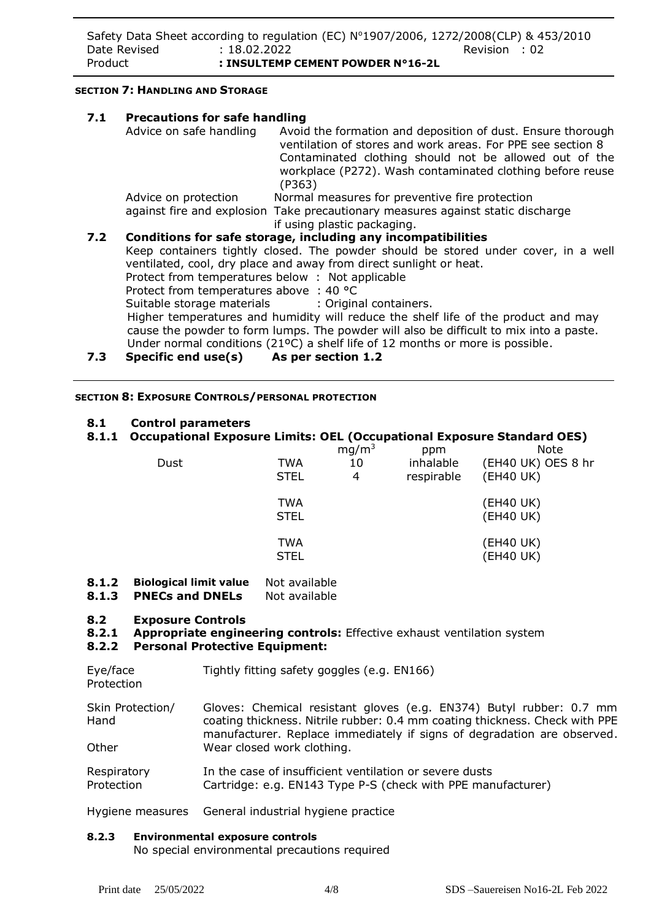## **SECTION 7: HANDLING AND STORAGE**

| 7.1 | <b>Precautions for safe handling</b>            |                                                                                                                                                                                                                                                             |
|-----|-------------------------------------------------|-------------------------------------------------------------------------------------------------------------------------------------------------------------------------------------------------------------------------------------------------------------|
|     | Advice on safe handling                         | Avoid the formation and deposition of dust. Ensure thorough<br>ventilation of stores and work areas. For PPE see section 8<br>Contaminated clothing should not be allowed out of the<br>workplace (P272). Wash contaminated clothing before reuse<br>(P363) |
|     | Advice on protection                            | Normal measures for preventive fire protection                                                                                                                                                                                                              |
|     |                                                 | against fire and explosion Take precautionary measures against static discharge<br>if using plastic packaging.                                                                                                                                              |
| 7.2 |                                                 | Conditions for safe storage, including any incompatibilities                                                                                                                                                                                                |
|     |                                                 | Keep containers tightly closed. The powder should be stored under cover, in a well<br>ventilated, cool, dry place and away from direct sunlight or heat.                                                                                                    |
|     | Protect from temperatures below: Not applicable |                                                                                                                                                                                                                                                             |
|     | Protect from temperatures above : 40 °C         |                                                                                                                                                                                                                                                             |
|     |                                                 | Suitable storage materials : Original containers.                                                                                                                                                                                                           |
|     |                                                 | Higher temperatures and humidity will reduce the shelf life of the product and may                                                                                                                                                                          |
|     |                                                 | cause the powder to form lumps. The powder will also be difficult to mix into a paste.                                                                                                                                                                      |
|     |                                                 | Under normal conditions (21ºC) a shelf life of 12 months or more is possible.                                                                                                                                                                               |
| 7.3 | Specific end use(s) As per section 1.2          |                                                                                                                                                                                                                                                             |

**SECTION 8: EXPOSURE CONTROLS/PERSONAL PROTECTION**

## **8.1 Control parameters**

## **8.1.1 Occupational Exposure Limits: OEL (Occupational Exposure Standard OES)**

| Dust | TWA<br><b>STEL</b>        | mg/m <sup>3</sup><br>10<br>4 | ppm<br>inhalable<br>respirable | <b>Note</b><br>(EH40 UK) OES 8 hr<br>(EH40 UK) |
|------|---------------------------|------------------------------|--------------------------------|------------------------------------------------|
|      | <b>TWA</b><br><b>STEL</b> |                              |                                | (EH40 UK)<br>(EH40 UK)                         |
|      | <b>TWA</b><br><b>STEL</b> |                              |                                | (EH40 UK)<br>(EH40 UK)                         |

- **8.1.2 Biological limit value** Not available
- **8.1.3 PNECs and DNELs** Not available

## **8.2 Exposure Controls**

## **8.2.1 Appropriate engineering controls:** Effective exhaust ventilation system

### **8.2.2 Personal Protective Equipment:**

Eye/face Tightly fitting safety goggles (e.g. EN166)

Protection

- Skin Protection/ Hand **Other** Gloves: Chemical resistant gloves (e.g. EN374) Butyl rubber: 0.7 mm coating thickness. Nitrile rubber: 0.4 mm coating thickness. Check with PPE manufacturer. Replace immediately if signs of degradation are observed. Wear closed work clothing.
- **Respiratory** Protection In the case of insufficient ventilation or severe dusts Cartridge: e.g. EN143 Type P-S (check with PPE manufacturer)

Hygiene measures General industrial hygiene practice

#### **8.2.3 Environmental exposure controls**

No special environmental precautions required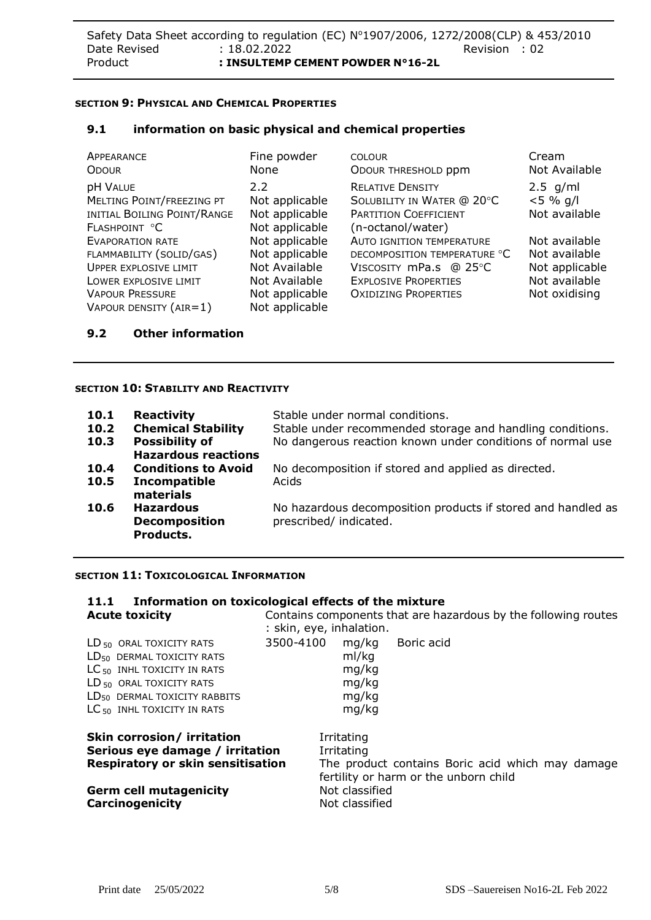## **SECTION 9: PHYSICAL AND CHEMICAL PROPERTIES**

## **9.1 information on basic physical and chemical properties**

| APPEARANCE<br><b>ODOUR</b>                                                                                                                                         | Fine powder<br>None                                                                                    | <b>COLOUR</b><br>ODOUR THRESHOLD ppm                                                                                                                     | Cream<br>Not Available                                                             |
|--------------------------------------------------------------------------------------------------------------------------------------------------------------------|--------------------------------------------------------------------------------------------------------|----------------------------------------------------------------------------------------------------------------------------------------------------------|------------------------------------------------------------------------------------|
| <b>pH VALUE</b><br>MELTING POINT/FREEZING PT<br>INITIAL BOILING POINT/RANGE<br>FLASHPOINT °C                                                                       | 2.2<br>Not applicable<br>Not applicable<br>Not applicable                                              | <b>RELATIVE DENSITY</b><br>SOLUBILITY IN WATER @ 20°C<br><b>PARTITION COEFFICIENT</b><br>(n-octanol/water)                                               | $2.5$ g/ml<br>$< 5 \% q/l$<br>Not available                                        |
| <b>EVAPORATION RATE</b><br>FLAMMABILITY (SOLID/GAS)<br><b>UPPER EXPLOSIVE LIMIT</b><br>LOWER EXPLOSIVE LIMIT<br><b>VAPOUR PRESSURE</b><br>VAPOUR DENSITY $(AIR=1)$ | Not applicable<br>Not applicable<br>Not Available<br>Not Available<br>Not applicable<br>Not applicable | <b>AUTO IGNITION TEMPERATURE</b><br>DECOMPOSITION TEMPERATURE °C<br>VISCOSITY mPa.s @ 25°C<br><b>EXPLOSIVE PROPERTIES</b><br><b>OXIDIZING PROPERTIES</b> | Not available<br>Not available<br>Not applicable<br>Not available<br>Not oxidising |

## **9.2 Other information**

## **SECTION 10: STABILITY AND REACTIVITY**

| 10.1 | <b>Reactivity</b>          | Stable under normal conditions.                              |
|------|----------------------------|--------------------------------------------------------------|
| 10.2 | <b>Chemical Stability</b>  | Stable under recommended storage and handling conditions.    |
| 10.3 | <b>Possibility of</b>      | No dangerous reaction known under conditions of normal use   |
|      | <b>Hazardous reactions</b> |                                                              |
| 10.4 | <b>Conditions to Avoid</b> | No decomposition if stored and applied as directed.          |
| 10.5 | <b>Incompatible</b>        | Acids                                                        |
|      | materials                  |                                                              |
| 10.6 | <b>Hazardous</b>           | No hazardous decomposition products if stored and handled as |
|      | <b>Decomposition</b>       | prescribed/ indicated.                                       |
|      | Products.                  |                                                              |

## **SECTION 11: TOXICOLOGICAL INFORMATION**

## **11.1 Information on toxicological effects of the mixture Acute toxicity**

| Contains components that are hazardous by the following routes |
|----------------------------------------------------------------|
| : skin, eye, inhalation.                                       |

| $LD_{50}$ oral toxicity rats             | 3500-4100 |       | mg/kg Boric acid |
|------------------------------------------|-----------|-------|------------------|
| $LD_{50}$ DERMAL TOXICITY RATS           |           | ml/kg |                  |
| $LC_{50}$ INHL TOXICITY IN RATS          |           | mg/kg |                  |
| LD <sub>50</sub> ORAL TOXICITY RATS      |           | mg/kg |                  |
| LD <sub>50</sub> DERMAL TOXICITY RABBITS |           | mg/kg |                  |
| $LC_{50}$ INHL TOXICITY IN RATS          |           | mg/kg |                  |
|                                          |           |       |                  |

# **Skin corrosion/ irritation** Irritating **Serious eye damage / irritation** Irritating **Respiratory or skin sensitisation** The product contains Boric acid which may damage

|                        | Germ cell mutagenicity |
|------------------------|------------------------|
| <b>Carcinogenicity</b> |                        |

fertility or harm or the unborn child **Not classified Not classified**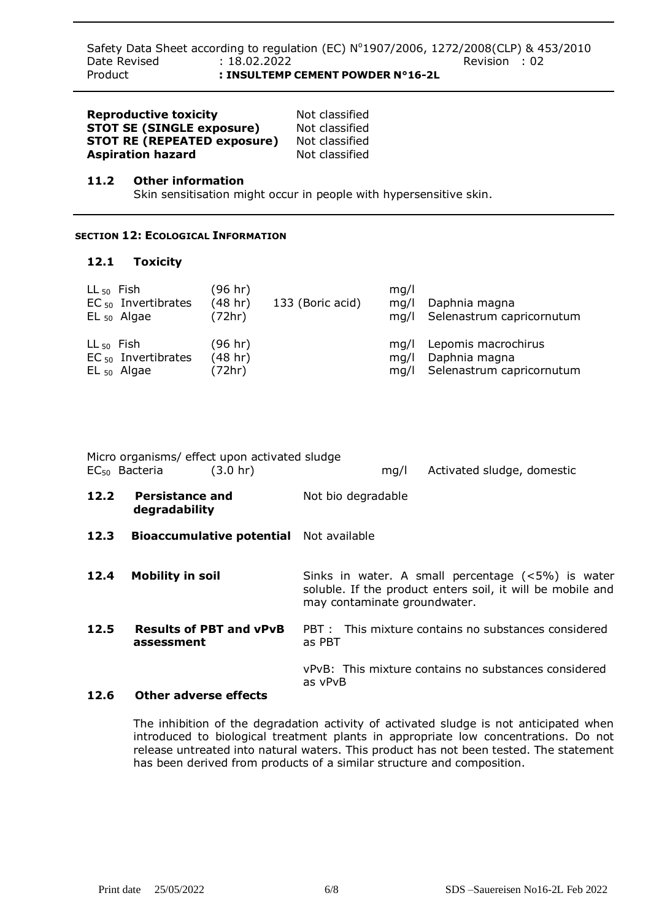Safety Data Sheet according to regulation (EC) N°1907/2006, 1272/2008(CLP) & 453/2010 Date Revised : 18.02.2022 Revision : 02 Product **: INSULTEMP CEMENT POWDER N°16-2L**

| <b>Reproductive toxicity</b>       | Not classified |
|------------------------------------|----------------|
| <b>STOT SE (SINGLE exposure)</b>   | Not classified |
| <b>STOT RE (REPEATED exposure)</b> | Not classified |
| <b>Aspiration hazard</b>           | Not classified |

## **11.2 Other information**

Skin sensitisation might occur in people with hypersensitive skin.

## **SECTION 12: ECOLOGICAL INFORMATION**

### **12.1 Toxicity**

| $LL_{50}$ Fish<br>$EC_{50}$ Invertibrates<br>$EL_{50}$ Algae | (96 hr)<br>(48 hr)<br>(72hr) | 133 (Boric acid) | mq/l<br>mq/l<br>ma/l | Daphnia magna<br>Selenastrum capricornutum |
|--------------------------------------------------------------|------------------------------|------------------|----------------------|--------------------------------------------|
| $LL_{50}$ Fish                                               | (96 hr)                      |                  | ma/l                 | Lepomis macrochirus                        |
| $EC_{50}$ Invertibrates                                      | (48 hr)                      |                  | ma/l                 | Daphnia magna                              |
| $EL_{50}$ Algae                                              | (72hr)                       |                  | ma/l                 | Selenastrum capricornutum                  |

Micro organisms/ effect upon activated sludge EC50 Bacteria (3.0 hr) mg/l Activated sludge, domestic

- **12.2 Persistance and degradability** Not bio degradable
- **12.3 Bioaccumulative potential** Not available

## **12.4 Mobility in soil** Sinks in water. A small percentage (<5%) is water soluble. If the product enters soil, it will be mobile and may contaminate groundwater.

**12.5 Results of PBT and vPvB assessment** PBT : This mixture contains no substances considered as PBT

> vPvB: This mixture contains no substances considered as vPvB

## **12.6 Other adverse effects**

The inhibition of the degradation activity of activated sludge is not anticipated when introduced to biological treatment plants in appropriate low concentrations. Do not release untreated into natural waters. This product has not been tested. The statement has been derived from products of a similar structure and composition.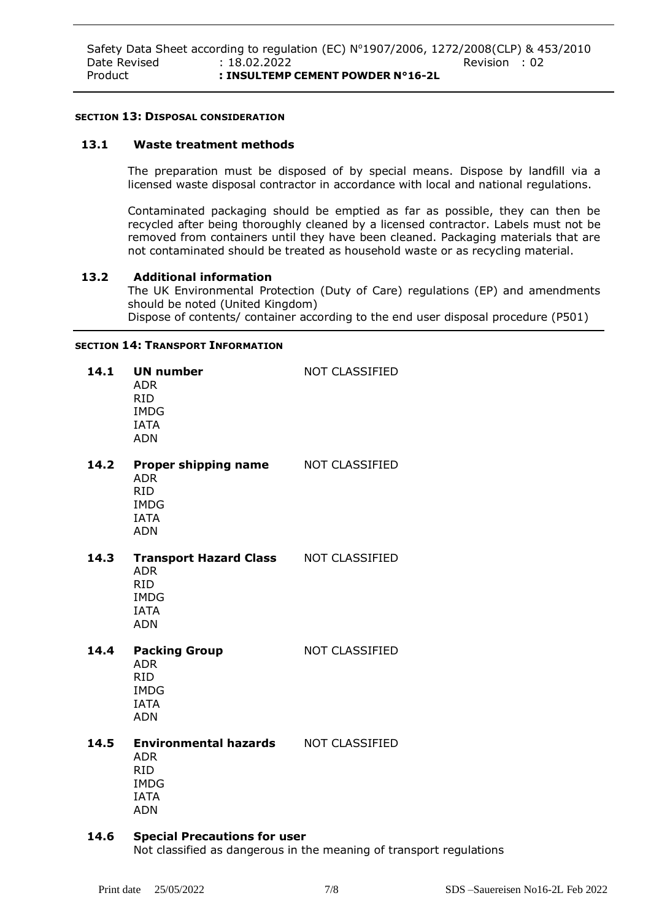#### **SECTION 13: DISPOSAL CONSIDERATION**

#### **13.1 Waste treatment methods**

The preparation must be disposed of by special means. Dispose by landfill via a licensed waste disposal contractor in accordance with local and national regulations.

Contaminated packaging should be emptied as far as possible, they can then be recycled after being thoroughly cleaned by a licensed contractor. Labels must not be removed from containers until they have been cleaned. Packaging materials that are not contaminated should be treated as household waste or as recycling material.

#### **13.2 Additional information**

The UK Environmental Protection (Duty of Care) regulations (EP) and amendments should be noted (United Kingdom) Dispose of contents/ container according to the end user disposal procedure (P501)

#### **SECTION 14: TRANSPORT INFORMATION**

| 14.1 | <b>UN number</b><br><b>ADR</b><br><b>RID</b><br><b>IMDG</b><br><b>IATA</b><br><b>ADN</b>                            | <b>NOT CLASSIFIED</b> |
|------|---------------------------------------------------------------------------------------------------------------------|-----------------------|
| 14.2 | Proper shipping name<br><b>ADR</b><br><b>RID</b><br><b>IMDG</b><br><b>IATA</b><br><b>ADN</b>                        | NOT CLASSIFIED        |
| 14.3 | Transport Hazard Class NOT CLASSIFIED<br><b>ADR</b><br><b>RID</b><br><b>IMDG</b><br><b>IATA</b><br><b>ADN</b>       |                       |
| 14.4 | <b>Packing Group</b><br><b>ADR</b><br><b>RID</b><br><b>IMDG</b><br><b>IATA</b><br><b>ADN</b>                        | <b>NOT CLASSIFIED</b> |
| 14.5 | <b>Environmental hazards MOT CLASSIFIED</b><br><b>ADR</b><br><b>RID</b><br><b>IMDG</b><br><b>IATA</b><br><b>ADN</b> |                       |

#### **14.6 Special Precautions for user**

Not classified as dangerous in the meaning of transport regulations